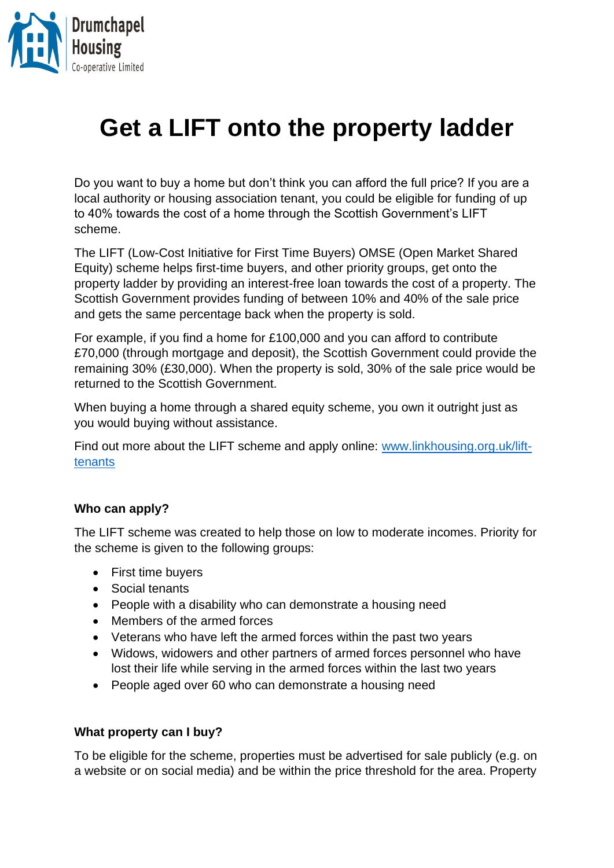

## **Get a LIFT onto the property ladder**

Do you want to buy a home but don't think you can afford the full price? If you are a local authority or housing association tenant, you could be eligible for funding of up to 40% towards the cost of a home through the Scottish Government's LIFT scheme.

The LIFT (Low-Cost Initiative for First Time Buyers) OMSE (Open Market Shared Equity) scheme helps first-time buyers, and other priority groups, get onto the property ladder by providing an interest-free loan towards the cost of a property. The Scottish Government provides funding of between 10% and 40% of the sale price and gets the same percentage back when the property is sold.

For example, if you find a home for £100,000 and you can afford to contribute £70,000 (through mortgage and deposit), the Scottish Government could provide the remaining 30% (£30,000). When the property is sold, 30% of the sale price would be returned to the Scottish Government.

When buying a home through a shared equity scheme, you own it outright just as you would buying without assistance.

Find out more about the LIFT scheme and apply online: [www.linkhousing.org.uk/lift](http://www.linkhousing.org.uk/lift-tenants)[tenants](http://www.linkhousing.org.uk/lift-tenants)

## **Who can apply?**

The LIFT scheme was created to help those on low to moderate incomes. Priority for the scheme is given to the following groups:

- First time buyers
- Social tenants
- People with a disability who can demonstrate a housing need
- Members of the armed forces
- Veterans who have left the armed forces within the past two years
- Widows, widowers and other partners of armed forces personnel who have lost their life while serving in the armed forces within the last two years
- People aged over 60 who can demonstrate a housing need

## **What property can I buy?**

To be eligible for the scheme, properties must be advertised for sale publicly (e.g. on a website or on social media) and be within the price threshold for the area. Property